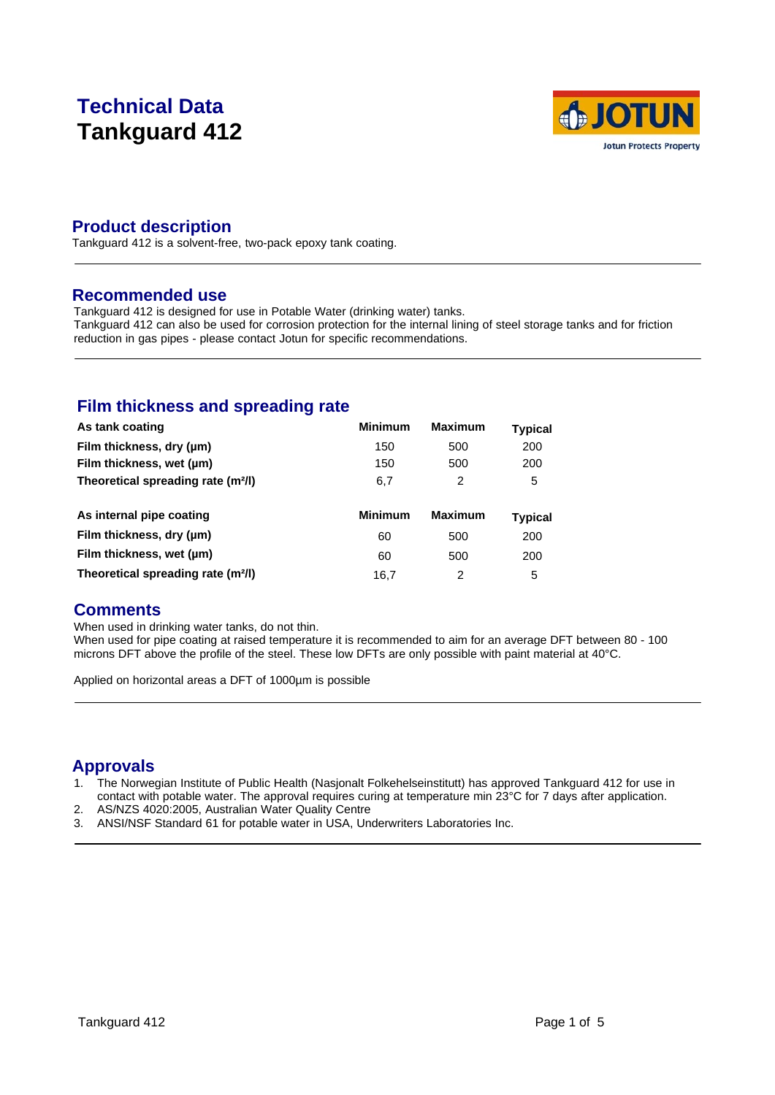# **Technical Data Tankguard 412**



### **Product description**

Tankguard 412 is a solvent-free, two-pack epoxy tank coating.

#### **Recommended use**

Tankguard 412 is designed for use in Potable Water (drinking water) tanks. Tankguard 412 can also be used for corrosion protection for the internal lining of steel storage tanks and for friction reduction in gas pipes - please contact Jotun for specific recommendations.

### **Film thickness and spreading rate**

| As tank coating                                | <b>Minimum</b> | <b>Maximum</b> | <b>Typical</b> |
|------------------------------------------------|----------------|----------------|----------------|
| Film thickness, dry (µm)                       | 150            | 500            | 200            |
| Film thickness, wet (µm)                       | 150            | 500            | 200            |
| Theoretical spreading rate (m <sup>2</sup> /l) | 6,7            | 2              | 5              |
|                                                |                |                |                |
|                                                |                |                |                |
| As internal pipe coating                       | <b>Minimum</b> | <b>Maximum</b> | <b>Typical</b> |
| Film thickness, dry (µm)                       | 60             | 500            | 200            |
| Film thickness, wet (µm)                       | 60             | 500            | 200            |

### **Comments**

When used in drinking water tanks, do not thin.

When used for pipe coating at raised temperature it is recommended to aim for an average DFT between 80 - 100 microns DFT above the profile of the steel. These low DFTs are only possible with paint material at 40°C.

Applied on horizontal areas a DFT of 1000µm is possible

# **Approvals**

- 1. The Norwegian Institute of Public Health (Nasjonalt Folkehelseinstitutt) has approved Tankguard 412 for use in contact with potable water. The approval requires curing at temperature min 23°C for 7 days after application.
- 2. AS/NZS 4020:2005, Australian Water Quality Centre
- 3. ANSI/NSF Standard 61 for potable water in USA, Underwriters Laboratories Inc.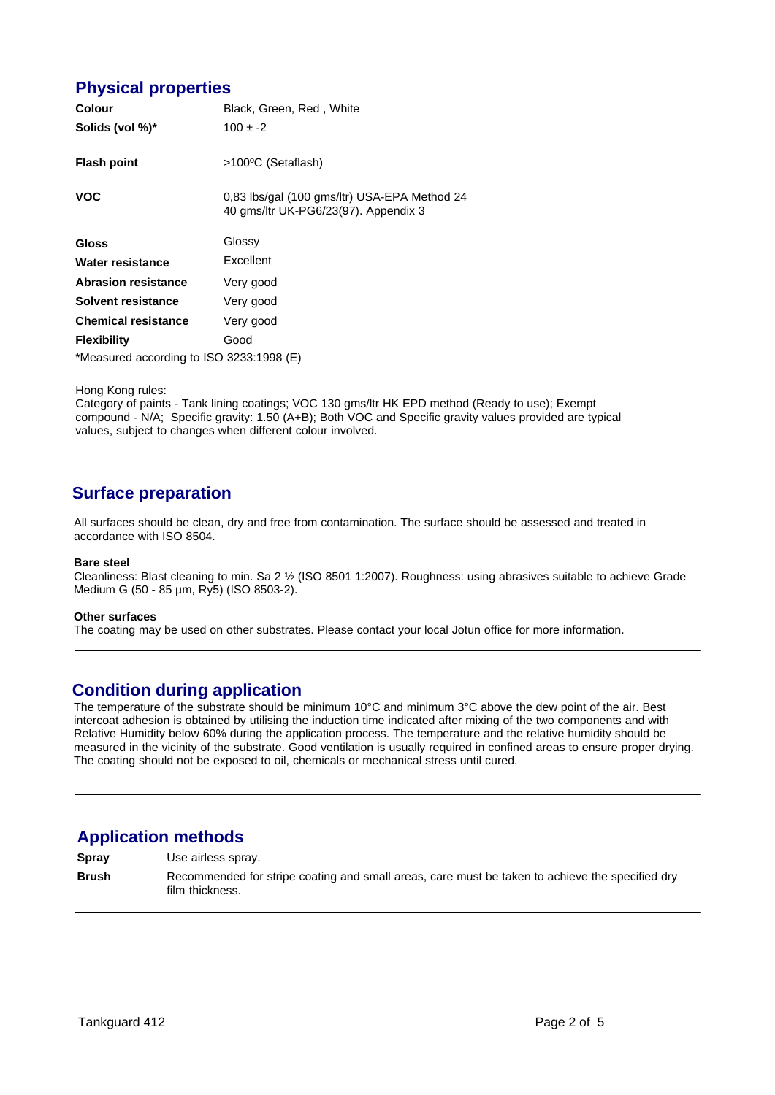### **Physical properties**

| Colour                                   | Black, Green, Red, White                                                             |  |
|------------------------------------------|--------------------------------------------------------------------------------------|--|
| Solids (vol %)*                          | $100 \pm -2$                                                                         |  |
| <b>Flash point</b>                       | >100°C (Setaflash)                                                                   |  |
| <b>VOC</b>                               | 0.83 lbs/gal (100 gms/ltr) USA-EPA Method 24<br>40 gms/ltr UK-PG6/23(97). Appendix 3 |  |
| Gloss                                    | Glossy                                                                               |  |
| Water resistance                         | Excellent                                                                            |  |
| <b>Abrasion resistance</b>               | Very good                                                                            |  |
| Solvent resistance                       | Very good                                                                            |  |
| <b>Chemical resistance</b>               | Very good                                                                            |  |
| <b>Flexibility</b>                       | Good                                                                                 |  |
| *Measured according to ISO 3233:1998 (E) |                                                                                      |  |

Hong Kong rules:

Category of paints - Tank lining coatings; VOC 130 gms/ltr HK EPD method (Ready to use); Exempt compound - N/A; Specific gravity: 1.50 (A+B); Both VOC and Specific gravity values provided are typical values, subject to changes when different colour involved.

## **Surface preparation**

All surfaces should be clean, dry and free from contamination. The surface should be assessed and treated in accordance with ISO 8504.

#### **Bare steel**

Cleanliness: Blast cleaning to min. Sa 2 ½ (ISO 8501 1:2007). Roughness: using abrasives suitable to achieve Grade Medium G (50 - 85 µm, Ry5) (ISO 8503-2).

#### **Other surfaces**

The coating may be used on other substrates. Please contact your local Jotun office for more information.

#### **Condition during application**

The temperature of the substrate should be minimum 10°C and minimum 3°C above the dew point of the air. Best intercoat adhesion is obtained by utilising the induction time indicated after mixing of the two components and with Relative Humidity below 60% during the application process. The temperature and the relative humidity should be measured in the vicinity of the substrate. Good ventilation is usually required in confined areas to ensure proper drying. The coating should not be exposed to oil, chemicals or mechanical stress until cured.

### **Application methods**

**Spray** Use airless spray.

**Brush** Recommended for stripe coating and small areas, care must be taken to achieve the specified dry film thickness.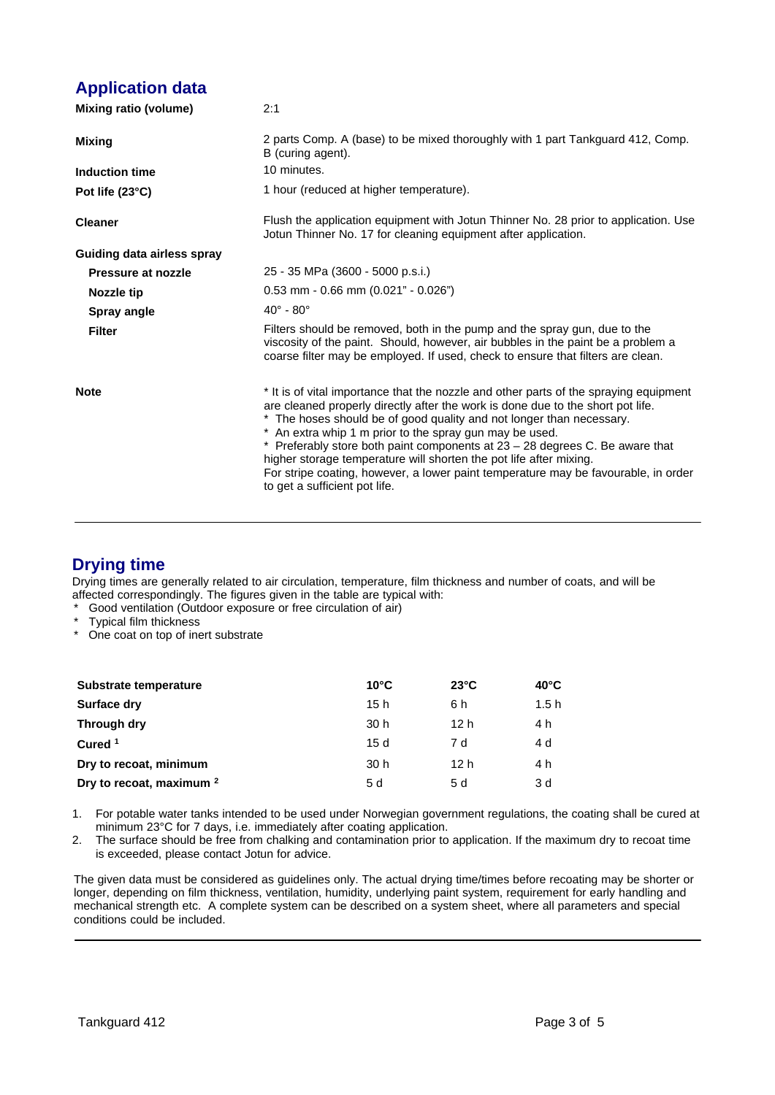## **Application data**

| Mixing ratio (volume)      | 2:1                                                                                                                                                                                                                                                                                                                                                                                                                                                                                                                                                                                        |
|----------------------------|--------------------------------------------------------------------------------------------------------------------------------------------------------------------------------------------------------------------------------------------------------------------------------------------------------------------------------------------------------------------------------------------------------------------------------------------------------------------------------------------------------------------------------------------------------------------------------------------|
| Mixing                     | 2 parts Comp. A (base) to be mixed thoroughly with 1 part Tankguard 412, Comp.<br>B (curing agent).                                                                                                                                                                                                                                                                                                                                                                                                                                                                                        |
| Induction time             | 10 minutes.                                                                                                                                                                                                                                                                                                                                                                                                                                                                                                                                                                                |
| Pot life (23°C)            | 1 hour (reduced at higher temperature).                                                                                                                                                                                                                                                                                                                                                                                                                                                                                                                                                    |
| <b>Cleaner</b>             | Flush the application equipment with Jotun Thinner No. 28 prior to application. Use<br>Jotun Thinner No. 17 for cleaning equipment after application.                                                                                                                                                                                                                                                                                                                                                                                                                                      |
| Guiding data airless spray |                                                                                                                                                                                                                                                                                                                                                                                                                                                                                                                                                                                            |
| Pressure at nozzle         | 25 - 35 MPa (3600 - 5000 p.s.i.)                                                                                                                                                                                                                                                                                                                                                                                                                                                                                                                                                           |
| <b>Nozzle tip</b>          | $0.53$ mm - 0.66 mm $(0.021" - 0.026")$                                                                                                                                                                                                                                                                                                                                                                                                                                                                                                                                                    |
| Spray angle                | $40^\circ$ - $80^\circ$                                                                                                                                                                                                                                                                                                                                                                                                                                                                                                                                                                    |
| <b>Filter</b>              | Filters should be removed, both in the pump and the spray gun, due to the<br>viscosity of the paint. Should, however, air bubbles in the paint be a problem a<br>coarse filter may be employed. If used, check to ensure that filters are clean.                                                                                                                                                                                                                                                                                                                                           |
| <b>Note</b>                | * It is of vital importance that the nozzle and other parts of the spraying equipment<br>are cleaned properly directly after the work is done due to the short pot life.<br>* The hoses should be of good quality and not longer than necessary.<br>* An extra whip 1 m prior to the spray gun may be used.<br>* Preferably store both paint components at $23 - 28$ degrees C. Be aware that<br>higher storage temperature will shorten the pot life after mixing.<br>For stripe coating, however, a lower paint temperature may be favourable, in order<br>to get a sufficient pot life. |

### **Drying time**

Drying times are generally related to air circulation, temperature, film thickness and number of coats, and will be affected correspondingly. The figures given in the table are typical with:

- Good ventilation (Outdoor exposure or free circulation of air)
- Typical film thickness
- \* One coat on top of inert substrate

| Substrate temperature               | $10^{\circ}$ C  | $23^{\circ}$ C  | $40^{\circ}$ C |
|-------------------------------------|-----------------|-----------------|----------------|
| Surface dry                         | 15 h            | 6 h             | 1.5h           |
| Through dry                         | 30 <sub>h</sub> | 12 <sub>h</sub> | 4 h            |
| Cured $1$                           | 15d             | 7 d             | 4 d            |
| Dry to recoat, minimum              | 30 <sub>h</sub> | 12 <sub>h</sub> | 4 h            |
| Dry to recoat, maximum <sup>2</sup> | 5 d             | 5 d             | 3 d            |

- 1. For potable water tanks intended to be used under Norwegian government regulations, the coating shall be cured at minimum 23°C for 7 days, i.e. immediately after coating application.
- 2. The surface should be free from chalking and contamination prior to application. If the maximum dry to recoat time is exceeded, please contact Jotun for advice.

The given data must be considered as guidelines only. The actual drying time/times before recoating may be shorter or longer, depending on film thickness, ventilation, humidity, underlying paint system, requirement for early handling and mechanical strength etc. A complete system can be described on a system sheet, where all parameters and special conditions could be included.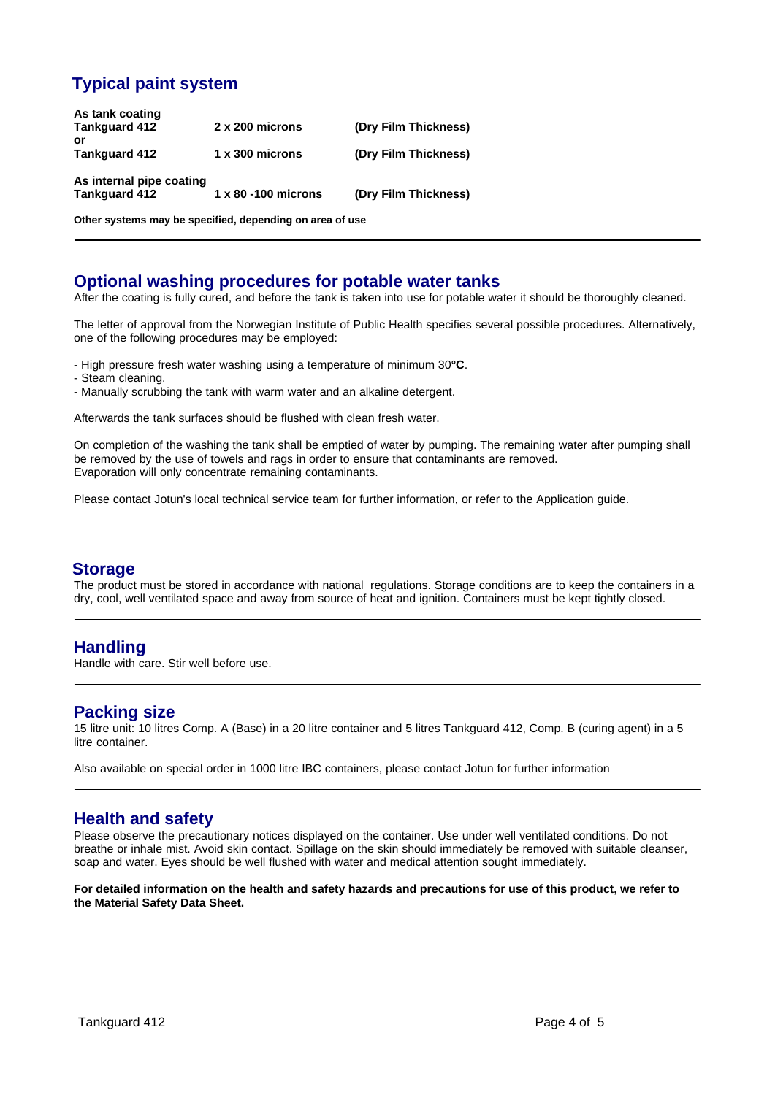# **Typical paint system**

| As tank coating          |                             |                      |
|--------------------------|-----------------------------|----------------------|
| <b>Tankguard 412</b>     | 2 x 200 microns             | (Dry Film Thickness) |
| or                       |                             |                      |
| <b>Tankguard 412</b>     | $1 \times 300$ microns      | (Dry Film Thickness) |
|                          |                             |                      |
| As internal pipe coating |                             |                      |
| <b>Tankguard 412</b>     | $1 \times 80 - 100$ microns | (Dry Film Thickness) |
|                          |                             |                      |
|                          |                             |                      |

**Other systems may be specified, depending on area of use**

### **Optional washing procedures for potable water tanks**

After the coating is fully cured, and before the tank is taken into use for potable water it should be thoroughly cleaned.

The letter of approval from the Norwegian Institute of Public Health specifies several possible procedures. Alternatively, one of the following procedures may be employed:

- High pressure fresh water washing using a temperature of minimum 30**°C**.
- Steam cleaning.
- Manually scrubbing the tank with warm water and an alkaline detergent.

Afterwards the tank surfaces should be flushed with clean fresh water.

On completion of the washing the tank shall be emptied of water by pumping. The remaining water after pumping shall be removed by the use of towels and rags in order to ensure that contaminants are removed. Evaporation will only concentrate remaining contaminants.

Please contact Jotun's local technical service team for further information, or refer to the Application guide.

#### **Storage**

The product must be stored in accordance with national regulations. Storage conditions are to keep the containers in a dry, cool, well ventilated space and away from source of heat and ignition. Containers must be kept tightly closed.

### **Handling**

Handle with care. Stir well before use.

#### **Packing size**

15 litre unit: 10 litres Comp. A (Base) in a 20 litre container and 5 litres Tankguard 412, Comp. B (curing agent) in a 5 litre container.

Also available on special order in 1000 litre IBC containers, please contact Jotun for further information

#### **Health and safety**

Please observe the precautionary notices displayed on the container. Use under well ventilated conditions. Do not breathe or inhale mist. Avoid skin contact. Spillage on the skin should immediately be removed with suitable cleanser, soap and water. Eyes should be well flushed with water and medical attention sought immediately.

#### **For detailed information on the health and safety hazards and precautions for use of this product, we refer to the Material Safety Data Sheet.**